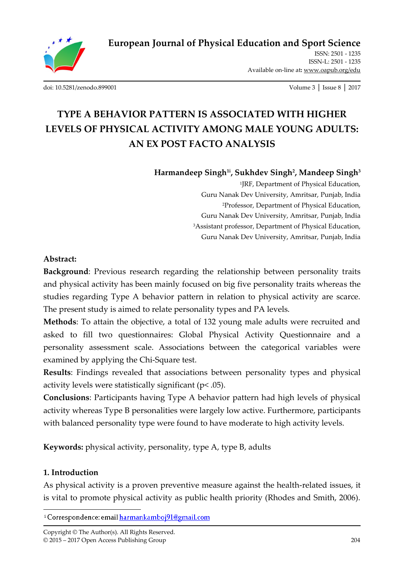

ISSN: 2501 - 1235 ISSN-L: 2501 - 1235 Available on-line at**:** www.oapub.org/edu

[doi: 10.5281/zenodo.899001](http://dx.doi.org/10.5281/zenodo.899001) Volume 3 │ Issue 8 │ 2017

# **TYPE A BEHAVIOR PATTERN IS ASSOCIATED WITH HIGHER LEVELS OF PHYSICAL ACTIVITY AMONG MALE YOUNG ADULTS: AN EX POST FACTO ANALYSIS**

**Harmandeep Singh1i , Sukhdev Singh<sup>2</sup> , Mandeep Singh<sup>3</sup>**

1 JRF, Department of Physical Education, Guru Nanak Dev University, Amritsar, Punjab, India <sup>2</sup>Professor, Department of Physical Education, Guru Nanak Dev University, Amritsar, Punjab, India <sup>3</sup>Assistant professor, Department of Physical Education, Guru Nanak Dev University, Amritsar, Punjab, India

#### **Abstract:**

**Background**: Previous research regarding the relationship between personality traits and physical activity has been mainly focused on big five personality traits whereas the studies regarding Type A behavior pattern in relation to physical activity are scarce. The present study is aimed to relate personality types and PA levels.

**Methods**: To attain the objective, a total of 132 young male adults were recruited and asked to fill two questionnaires: Global Physical Activity Questionnaire and a personality assessment scale. Associations between the categorical variables were examined by applying the Chi-Square test.

**Results**: Findings revealed that associations between personality types and physical activity levels were statistically significant (p< .05).

**Conclusions**: Participants having Type A behavior pattern had high levels of physical activity whereas Type B personalities were largely low active. Furthermore, participants with balanced personality type were found to have moderate to high activity levels.

**Keywords:** physical activity, personality, type A, type B, adults

# **1. Introduction**

As physical activity is a proven preventive measure against the health-related issues, it is vital to promote physical activity as public health priority (Rhodes and Smith, 2006).

 $\overline{a}$ <sup>i</sup> Correspondence: email harmankamboj91@gmail.com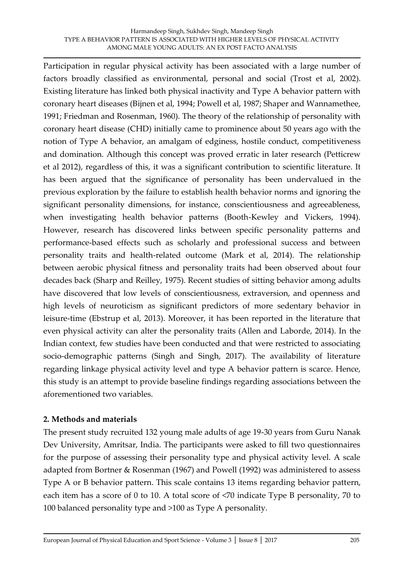Participation in regular physical activity has been associated with a large number of factors broadly classified as environmental, personal and social (Trost et al, 2002). Existing literature has linked both physical inactivity and Type A behavior pattern with coronary heart diseases (Bijnen et al, 1994; Powell et al, 1987; Shaper and Wannamethee, 1991; Friedman and Rosenman, 1960). The theory of the relationship of personality with coronary heart disease (CHD) initially came to prominence about 50 years ago with the notion of Type A behavior, an amalgam of edginess, hostile conduct, competitiveness and domination. Although this concept was proved erratic in later research (Petticrew et al 2012), regardless of this, it was a significant contribution to scientific literature. It has been argued that the significance of personality has been undervalued in the previous exploration by the failure to establish health behavior norms and ignoring the significant personality dimensions, for instance, conscientiousness and agreeableness, when investigating health behavior patterns (Booth-Kewley and Vickers, 1994). However, research has discovered links between specific personality patterns and performance-based effects such as scholarly and professional success and between personality traits and health-related outcome (Mark et al, 2014). The relationship between aerobic physical fitness and personality traits had been observed about four decades back (Sharp and Reilley, 1975). Recent studies of sitting behavior among adults have discovered that low levels of conscientiousness, extraversion, and openness and high levels of neuroticism as significant predictors of more sedentary behavior in leisure-time (Ebstrup et al, 2013). Moreover, it has been reported in the literature that even physical activity can alter the personality traits (Allen and Laborde, 2014). In the Indian context, few studies have been conducted and that were restricted to associating socio-demographic patterns (Singh and Singh, 2017). The availability of literature regarding linkage physical activity level and type A behavior pattern is scarce. Hence, this study is an attempt to provide baseline findings regarding associations between the aforementioned two variables.

#### **2. Methods and materials**

The present study recruited 132 young male adults of age 19-30 years from Guru Nanak Dev University, Amritsar, India. The participants were asked to fill two questionnaires for the purpose of assessing their personality type and physical activity level. A scale adapted from Bortner & Rosenman (1967) and Powell (1992) was administered to assess Type A or B behavior pattern. This scale contains 13 items regarding behavior pattern, each item has a score of 0 to 10. A total score of <70 indicate Type B personality, 70 to 100 balanced personality type and >100 as Type A personality.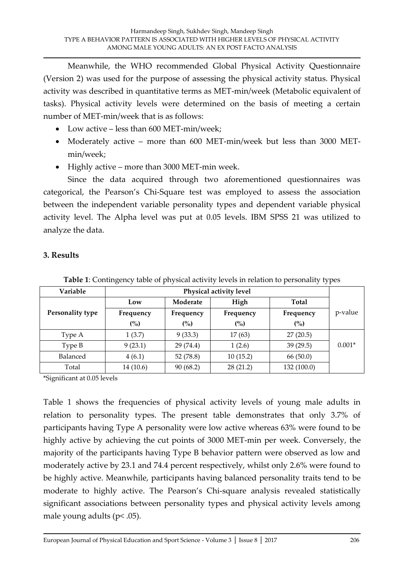Meanwhile, the WHO recommended Global Physical Activity Questionnaire (Version 2) was used for the purpose of assessing the physical activity status. Physical activity was described in quantitative terms as MET-min/week (Metabolic equivalent of tasks). Physical activity levels were determined on the basis of meeting a certain number of MET-min/week that is as follows:

- Low active less than 600 MET-min/week;
- Moderately active more than 600 MET-min/week but less than 3000 METmin/week;
- Highly active more than 3000 MET-min week.

Since the data acquired through two aforementioned questionnaires was categorical, the Pearson's Chi-Square test was employed to assess the association between the independent variable personality types and dependent variable physical activity level. The Alpha level was put at 0.05 levels. IBM SPSS 21 was utilized to analyze the data.

## **3. Results**

| Variable         | <b>Physical activity level</b> |           |           |             |          |
|------------------|--------------------------------|-----------|-----------|-------------|----------|
|                  | Low                            | Moderate  | High      | Total       |          |
| Personality type | Frequency                      | Frequency | Frequency | Frequency   | p-value  |
|                  | (%)                            | (%)       | (%)       | (%)         |          |
| Type A           | 1(3.7)                         | 9(33.3)   | 17(63)    | 27(20.5)    |          |
| Type B           | 9(23.1)                        | 29 (74.4) | 1(2.6)    | 39(29.5)    | $0.001*$ |
| Balanced         | 4(6.1)                         | 52 (78.8) | 10(15.2)  | 66 (50.0)   |          |
| Total            | 14 (10.6)                      | 90(68.2)  | 28(21.2)  | 132 (100.0) |          |

**Table 1**: Contingency table of physical activity levels in relation to personality types

\*Significant at 0.05 levels

Table 1 shows the frequencies of physical activity levels of young male adults in relation to personality types. The present table demonstrates that only 3.7% of participants having Type A personality were low active whereas 63% were found to be highly active by achieving the cut points of 3000 MET-min per week. Conversely, the majority of the participants having Type B behavior pattern were observed as low and moderately active by 23.1 and 74.4 percent respectively, whilst only 2.6% were found to be highly active. Meanwhile, participants having balanced personality traits tend to be moderate to highly active. The Pearson's Chi-square analysis revealed statistically significant associations between personality types and physical activity levels among male young adults (p< .05).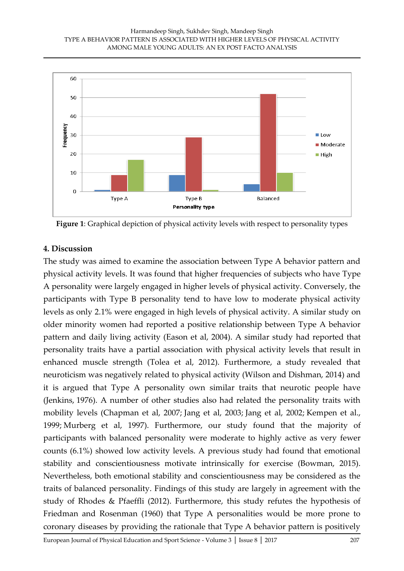

**Figure 1**: Graphical depiction of physical activity levels with respect to personality types

## **4. Discussion**

The study was aimed to examine the association between Type A behavior pattern and physical activity levels. It was found that higher frequencies of subjects who have Type A personality were largely engaged in higher levels of physical activity. Conversely, the participants with Type B personality tend to have low to moderate physical activity levels as only 2.1% were engaged in high levels of physical activity. A similar study on older minority women had reported a positive relationship between Type A behavior pattern and daily living activity (Eason et al, 2004). A similar study had reported that personality traits have a partial association with physical activity levels that result in enhanced muscle strength (Tolea et al, 2012). Furthermore, a study revealed that neuroticism was negatively related to physical activity (Wilson and Dishman, 2014) and it is argued that Type A personality own similar traits that neurotic people have (Jenkins, 1976). A number of other studies also had related the personality traits with mobility levels (Chapman et al, 2007; Jang et al, 2003; Jang et al, 2002; Kempen et al., 1999; Murberg et al, 1997). Furthermore, our study found that the majority of participants with balanced personality were moderate to highly active as very fewer counts (6.1%) showed low activity levels. A previous study had found that emotional stability and conscientiousness motivate intrinsically for exercise (Bowman, 2015). Nevertheless, both emotional stability and conscientiousness may be considered as the traits of balanced personality. Findings of this study are largely in agreement with the study of Rhodes & Pfaeffli (2012). Furthermore, this study refutes the hypothesis of Friedman and Rosenman (1960) that Type A personalities would be more prone to coronary diseases by providing the rationale that Type A behavior pattern is positively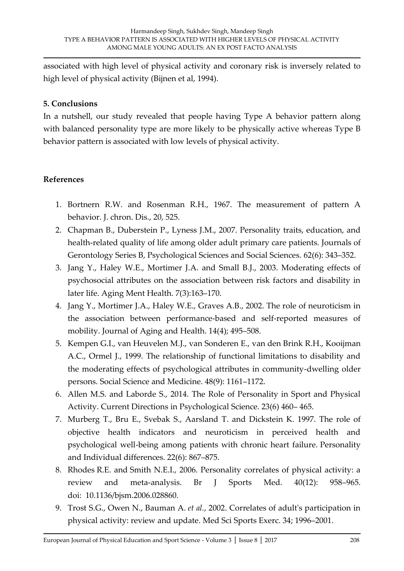associated with high level of physical activity and coronary risk is inversely related to high level of physical activity (Bijnen et al, 1994).

## **5. Conclusions**

In a nutshell, our study revealed that people having Type A behavior pattern along with balanced personality type are more likely to be physically active whereas Type B behavior pattern is associated with low levels of physical activity.

# **References**

- 1. Bortnern R.W. and Rosenman R.H., 1967. The measurement of pattern A behavior. J. chron. Dis., 20, 525.
- 2. Chapman B., Duberstein P., Lyness J.M., 2007. Personality traits, education, and health-related quality of life among older adult primary care patients. Journals of Gerontology Series B, Psychological Sciences and Social Sciences. 62(6): 343–352.
- 3. Jang Y., Haley W.E., Mortimer J.A. and Small B.J., 2003. Moderating effects of psychosocial attributes on the association between risk factors and disability in later life. Aging Ment Health. 7(3):163–170.
- 4. Jang Y., Mortimer J.A., Haley W.E., Graves A.B., 2002. The role of neuroticism in the association between performance-based and self-reported measures of mobility. Journal of Aging and Health. 14(4); 495–508.
- 5. Kempen G.I., van Heuvelen M.J., van Sonderen E., van den Brink R.H., Kooijman A.C., Ormel J., 1999. The relationship of functional limitations to disability and the moderating effects of psychological attributes in community-dwelling older persons. Social Science and Medicine. 48(9): 1161–1172.
- 6. Allen M.S. and Laborde S., 2014. The Role of Personality in Sport and Physical Activity. Current Directions in Psychological Science. 23(6) 460– 465.
- 7. Murberg T., Bru E., Svebak S., Aarsland T. and Dickstein K. 1997. The role of objective health indicators and neuroticism in perceived health and psychological well-being among patients with chronic heart failure. Personality and Individual differences. 22(6): 867–875.
- 8. Rhodes R.E. and Smith N.E.I., 2006. Personality correlates of physical activity: a review and meta‐analysis. Br J Sports Med. 40(12): 958–965. doi: 10.1136/bjsm.2006.028860.
- 9. Trost S.G., Owen N., Bauman A. *et al.*, 2002. Correlates of adult's participation in physical activity: review and update. Med Sci Sports Exerc. 34; 1996–2001.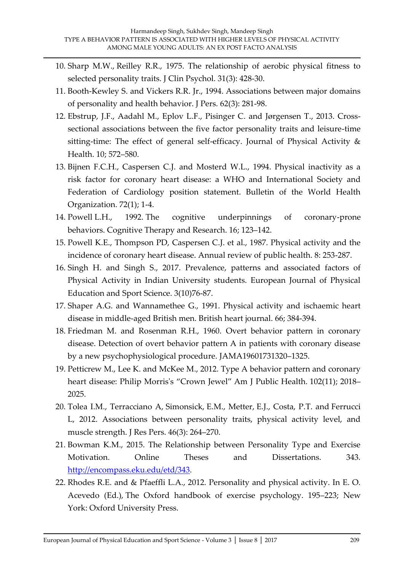- 10. Sharp M.W., Reilley R.R., 1975. The relationship of aerobic physical fitness to selected personality traits. J Clin Psychol. 31(3): 428-30.
- 11. Booth-Kewley S. and Vickers R.R. Jr., 1994. Associations between major domains of personality and health behavior. J Pers. 62(3): 281-98.
- 12. Ebstrup, J.F., Aadahl M., Eplov L.F., Pisinger C. and Jørgensen T., 2013. Crosssectional associations between the five factor personality traits and leisure-time sitting-time: The effect of general self-efficacy. Journal of Physical Activity & Health. 10; 572–580.
- 13. Bijnen F.C.H., Caspersen C.J. and Mosterd W.L., 1994. Physical inactivity as a risk factor for coronary heart disease: a WHO and International Society and Federation of Cardiology position statement. Bulletin of the World Health Organization. 72(1); 1-4.
- 14. Powell L.H., 1992. The cognitive underpinnings of coronary-prone behaviors. Cognitive Therapy and Research. 16; 123–142.
- 15. Powell K.E., Thompson PD, Caspersen C.J. et al., 1987. Physical activity and the incidence of coronary heart disease. Annual review of public health. 8: 253-287.
- 16. Singh H. and Singh S., 2017. Prevalence, patterns and associated factors of Physical Activity in Indian University students. European Journal of Physical Education and Sport Science. 3(10)76-87.
- 17. Shaper A.G. and Wannamethee G., 1991. Physical activity and ischaemic heart disease in middle-aged British men. British heart journal. 66; 384-394.
- 18. Friedman M. and Rosenman R.H., 1960. Overt behavior pattern in coronary disease. Detection of overt behavior pattern A in patients with coronary disease by a new psychophysiological procedure. JAMA19601731320–1325.
- 19. Petticrew M., Lee K. and McKee M., 2012. Type A behavior pattern and coronary heart disease: Philip Morris's "Crown Jewel" Am J Public Health. 102(11); 2018– 2025.
- 20. Tolea I.M., Terracciano A, Simonsick, E.M., Metter, E.J., Costa, P.T. and Ferrucci L, 2012. Associations between personality traits, physical activity level, and muscle strength. J Res Pers. 46(3): 264–270.
- 21. Bowman K.M., 2015. The Relationship between Personality Type and Exercise Motivation. Online Theses and Dissertations. 343. [http://encompass.eku.edu/etd/343.](http://encompass.eku.edu/etd/343)
- 22. Rhodes R.E. and & Pfaeffli L.A., 2012. Personality and physical activity. In E. O. Acevedo (Ed.), The Oxford handbook of exercise psychology. 195–223; New York: Oxford University Press.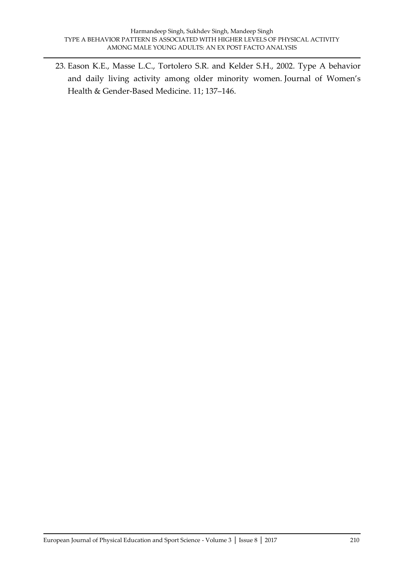23. Eason K.E., Masse L.C., Tortolero S.R. and Kelder S.H., 2002. Type A behavior and daily living activity among older minority women. Journal of Women's Health & Gender-Based Medicine. 11; 137–146.